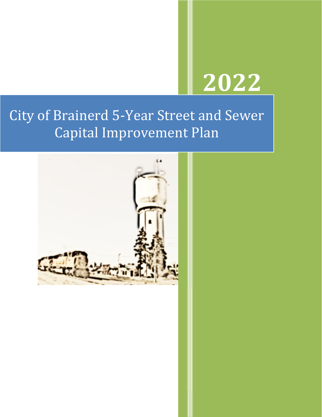# **2022**

## City of Brainerd 5-Year Street and Sewer Capital Improvement Plan

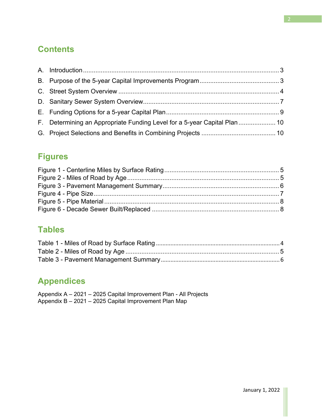### **Contents**

| F. Determining an Appropriate Funding Level for a 5-year Capital Plan  10 |  |
|---------------------------------------------------------------------------|--|
|                                                                           |  |
|                                                                           |  |

### **Figures**

### **Tables**

## **Appendices**

| Appendix A – 2021 – 2025 Capital Improvement Plan - All Projects |  |
|------------------------------------------------------------------|--|
| Appendix B - 2021 - 2025 Capital Improvement Plan Map            |  |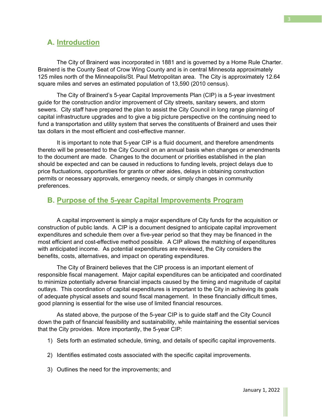#### **A. Introduction**

 The City of Brainerd was incorporated in 1881 and is governed by a Home Rule Charter. Brainerd is the County Seat of Crow Wing County and is in central Minnesota approximately 125 miles north of the Minneapolis/St. Paul Metropolitan area. The City is approximately 12.64 square miles and serves an estimated population of 13,590 (2010 census).

 The City of Brainerd's 5-year Capital Improvements Plan (CIP) is a 5-year investment guide for the construction and/or improvement of City streets, sanitary sewers, and storm sewers. City staff have prepared the plan to assist the City Council in long range planning of capital infrastructure upgrades and to give a big picture perspective on the continuing need to fund a transportation and utility system that serves the constituents of Brainerd and uses their tax dollars in the most efficient and cost-effective manner.

 It is important to note that 5-year CIP is a fluid document, and therefore amendments thereto will be presented to the City Council on an annual basis when changes or amendments to the document are made. Changes to the document or priorities established in the plan should be expected and can be caused in reductions to funding levels, project delays due to price fluctuations, opportunities for grants or other aides, delays in obtaining construction permits or necessary approvals, emergency needs, or simply changes in community preferences.

#### **B. Purpose of the 5-year Capital Improvements Program**

 A capital improvement is simply a major expenditure of City funds for the acquisition or construction of public lands. A CIP is a document designed to anticipate capital improvement expenditures and schedule them over a five-year period so that they may be financed in the most efficient and cost-effective method possible. A CIP allows the matching of expenditures with anticipated income. As potential expenditures are reviewed, the City considers the benefits, costs, alternatives, and impact on operating expenditures.

 The City of Brainerd believes that the CIP process is an important element of responsible fiscal management. Major capital expenditures can be anticipated and coordinated to minimize potentially adverse financial impacts caused by the timing and magnitude of capital outlays. This coordination of capital expenditures is important to the City in achieving its goals of adequate physical assets and sound fiscal management. In these financially difficult times, good planning is essential for the wise use of limited financial resources.

 As stated above, the purpose of the 5-year CIP is to guide staff and the City Council down the path of financial feasibility and sustainability, while maintaining the essential services that the City provides. More importantly, the 5-year CIP:

- 1) Sets forth an estimated schedule, timing, and details of specific capital improvements.
- 2) Identifies estimated costs associated with the specific capital improvements.
- 3) Outlines the need for the improvements; and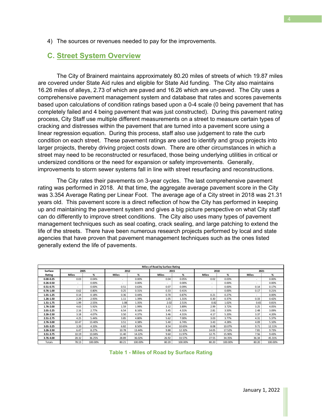4) The sources or revenues needed to pay for the improvements.

#### **C. Street System Overview**

 The City of Brainerd maintains approximately 80.20 miles of streets of which 19.87 miles are covered under State Aid rules and eligible for State Aid funding. The City also maintains 16.26 miles of alleys, 2.73 of which are paved and 16.26 which are un-paved. The City uses a comprehensive pavement management system and database that rates and scores pavements based upon calculations of condition ratings based upon a 0-4 scale (0 being pavement that has completely failed and 4 being pavement that was just constructed). During this pavement rating process, City Staff use multiple different measurements on a street to measure certain types of cracking and distresses within the pavement that are turned into a pavement score using a linear regression equation. During this process, staff also use judgement to rate the curb condition on each street. These pavement ratings are used to identify and group projects into larger projects, thereby driving project costs down. There are other circumstances in which a street may need to be reconstructed or resurfaced, those being underlying utilities in critical or undersized conditions or the need for expansion or safety improvements. Generally, improvements to storm sewer systems fall in line with street resurfacing and reconstructions.

 The City rates their pavements on 3-year cycles. The last comprehensive pavement rating was performed in 2018. At that time, the aggregate average pavement score in the City was 3.354 Average Rating per Linear Foot. The average age of a City street in 2018 was 21.31 years old. This pavement score is a direct reflection of how the City has performed in keeping up and maintaining the pavement system and gives a big picture perspective on what City staff can do differently to improve street conditions. The City also uses many types of pavement management techniques such as seal coating, crack sealing, and large patching to extend the life of the streets. There have been numerous research projects performed by local and state agencies that have proven that pavement management techniques such as the ones listed generally extend the life of pavements.

| Miles of Road by Surface Rating |              |         |              |          |                          |         |              |         |              |         |
|---------------------------------|--------------|---------|--------------|----------|--------------------------|---------|--------------|---------|--------------|---------|
| Surface                         | 2005         |         | 2012         |          | 2015                     |         | 2018         |         | 2021         |         |
| Rating                          | <b>Miles</b> | %       | <b>Miles</b> | %        | <b>Miles</b>             | %       | <b>Miles</b> | %       | <b>Miles</b> | %       |
| $0.00 - 0.25$                   | 0.03         | 0.04%   |              | 0.00%    | 0.04                     | 0.05%   | 0.02         | 0.03%   | ۰            | 0.00%   |
| $0.26 - 0.50$                   | ۰            | 0.00%   |              | $0.00\%$ | $\overline{\phantom{a}}$ | 0.00%   |              | 0.00%   | ۰            | 0.00%   |
| $0.51 - 0.75$                   | $\sim$       | 0.00%   | 0.51         | 0.63%    | 0.07                     | 0.09%   | ٠            | 0.00%   | 0.14         | 0.17%   |
| $0.76 - 1.00$                   | 0.62         | 0.80%   | 0.25         | 0.31%    | 0.33                     | 0.41%   | ٠            | 0.00%   | 0.17         | 0.21%   |
| $1.01 - 1.25$                   | 0.14         | 0.18%   | 0.36         | 0.44%    | 0.70                     | 0.87%   | 0.21         | 0.27%   | $\sim$       | 0.00%   |
| 1.26-1.50                       | 2.29         | 2.93%   | 1.11         | 1.39%    | 1.05                     | 1.31%   | 0.30         | 0.37%   | 0.33         | 0.42%   |
| 1.51-1.75                       | 1.99         | 2.55%   | 1.08         | 1.35%    | 2.02                     | 2.51%   | 0.82         | 1.02%   | 0.65         | 0.81%   |
| 1.76-2.00                       | 4.63         | 5.92%   | 1.59         | 1.99%    | 3.12                     | 3.89%   | 2.99         | 3.72%   | 3.25         | 4.05%   |
| $2.01 - 2.25$                   | 2.16         | 2.77%   | 6.54         | 8.16%    | 3.45                     | 4.31%   | 2.81         | 3.50%   | 2.48         | 3.09%   |
| 2.26-2.50                       | 3.18         | 4.07%   | 3.50         | 4.37%    | 3.46                     | 4.31%   | 4.17         | 5.20%   | 3.37         | 4.20%   |
| 2.51-2.75                       | 4.25         | 5.44%   | 3.85         | 4.80%    | 5.62                     | 7.00%   | 3.03         | 3.77%   | 4.31         | 5.37%   |
| 2.76-3.00                       | 10.47        | 13.40%  | 3.51         | 4.38%    | 5.40                     | 6.74%   | 3.43         | 4.28%   | 4.09         | 5.10%   |
| 3.01-3.25                       | 3.39         | 4.33%   | 6.82         | 8.50%    | 8.54                     | 10.65%  | 8.08         | 10.07%  | 9.71         | 12.11%  |
| 3.26-3.50                       | 6.47         | 8.27%   | 10.78        | 13.44%   | 9.88                     | 12.32%  | 14.05        | 17.52%  | 7.81         | 9.73%   |
| 3.51-3.75                       | 10.19        | 13.04%  | 11.40        | 14.22%   | 9.60                     | 11.97%  | 12.75        | 15.90%  | 7.56         | 9.43%   |
| 3.76-4.00                       | 28.32        | 36.25%  | 28.89        | 36.02%   | 26.92                    | 33.57%  | 27.55        | 34.35%  | 36.34        | 45.31%  |
| Totals                          | 78.13        | 100.00% | 80.21        | 100.00%  | 80.20                    | 100.00% | 80.20        | 100.00% | 80.20        | 100.00% |

**Table 1 - Miles of Road by Surface Rating**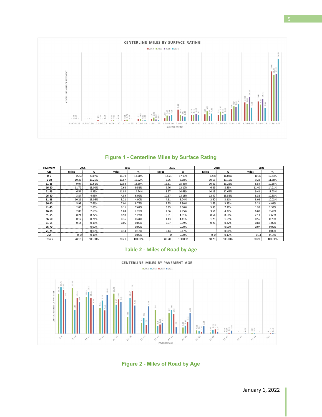

#### **Figure 1 - Centerline Miles by Surface Rating**

| Pavement  | 2005         |         | 2012         |         | 2015                     |         | 2018  |         | 2021  |         |
|-----------|--------------|---------|--------------|---------|--------------------------|---------|-------|---------|-------|---------|
| Age       | <b>Miles</b> | %       | <b>Miles</b> | %       | <b>Miles</b>             | %       | Miles | %       | Miles | %       |
| $0-5$     | 15.68        | 20.07%  | 11.79        | 14.70%  | 13.71                    | 17.09%  | 12.86 | 16.03%  | 10.30 | 12.84%  |
| $6 - 10$  | 10.35        | 13.25%  | 13.57        | 16.92%  | 6.96                     | 8.68%   | 10.55 | 13.15%  | 9.28  | 11.58%  |
| 11-15     | 9.07         | 11.61%  | 10.83        | 13.50%  | 12.31                    | 15.35%  | 10.61 | 13.22%  | 8.54  | 10.65%  |
| 16-20     | 11.72        | 15.00%  | 7.63         | 9.51%   | 9.76                     | 12.17%  | 6.89  | 8.59%   | 11.40 | 14.21%  |
| $21 - 25$ | 6.51         | 8.33%   | 11.82        | 14.74%  | 8.57                     | 10.68%  | 10.13 | 12.62%  | 9.41  | 11.73%  |
| 26-30     | 3.87         | 4.95%   | 4.89         | 6.09%   | 10.57                    | 13.18%  | 12.47 | 15.55%  | 8.32  | 10.38%  |
| 31-35     | 10.21        | 13.06%  | 3.21         | 4.00%   | 4.61                     | 5.74%   | 2.50  | 3.11%   | 8.03  | 10.02%  |
| 36-40     | 5.98         | 7.66%   | 7.01         | 8.75%   | 2.25                     | 2.80%   | 2.69  | 3.35%   | 3.21  | 4.01%   |
| 41-45     | 2.05         | 2.63%   | 6.11         | 7.61%   | 6.95                     | 8.66%   | 5.83  | 7.27%   | 1.92  | 2.39%   |
| 46-50     | 2.03         | 2.60%   | 1.83         | 2.28%   | 2.36                     | 2.95%   | 3.51  | 4.37%   | 6.00  | 7.48%   |
| 51-55     | 0.21         | 0.27%   | 0.98         | 1.22%   | 0.81                     | 1.01%   | 0.54  | 0.68%   | 2.13  | 2.66%   |
| 56-60     | 0.17         | 0.21%   | 0.36         | 0.44%   | 1.13                     | 1.41%   | 1.25  | 1.55%   | 0.56  | 0.70%   |
| 61-65     | 0.14         | 0.18%   | 0.05         | 0.06%   | 0.07                     | 0.09%   | 0.26  | 0.32%   | 0.88  | 1.09%   |
| 66-70     | $\sim$       | 0.00%   |              | 0.00%   | $\overline{\phantom{a}}$ | 0.00%   | ٠     | 0.00%   | 0.07  | 0.09%   |
| $71 - 75$ | $\sim$       | 0.00%   | 0.14         | 0.17%   | 0.14                     | 0.17%   | ٠     | 0.00%   | ٠     | 0.00%   |
| $76+$     | 0.14         | 0.18%   |              | 0.00%   |                          | 0.00%   | 0.14  | 0.17%   | 0.14  | 0.17%   |
| Totals    | 78.13        | 100.00% | 80.21        | 100.00% | 80.20                    | 100.00% | 80.20 | 100.00% | 80.20 | 100.00% |





**Figure 2 - Miles of Road by Age**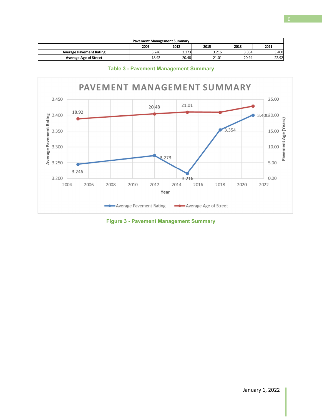| <b>Pavement Management Summary</b>   |       |       |       |       |       |  |  |  |  |
|--------------------------------------|-------|-------|-------|-------|-------|--|--|--|--|
| 2021<br>2005<br>2012<br>2018<br>2015 |       |       |       |       |       |  |  |  |  |
| <b>Average Pavement Rating</b>       | 3.246 | 3.273 | 3.216 | 3.354 | 3.400 |  |  |  |  |
| <b>Average Age of Street</b>         | 18.92 | 20.48 | 21.01 | 20.94 | 22.92 |  |  |  |  |

PAVEMENT MANAGEMENT SUMMARY 3.450 25.00 21.01 20.48 Average Pavement Rating<br>3.350<br>3.300<br>3.250 18.92 3.40020.00 Pavement Age (Years) 3.354 15.00 10.00 3.273 5.00 3.246 3.200  $0.00$ 3.216 2004 2006 2008 2010 2012 2014 2016 2018 2020 2022 Year -Average Pavement Rating Average Age of Street

**Table 3 - Pavement Management Summary** 

**Figure 3 - Pavement Management Summary**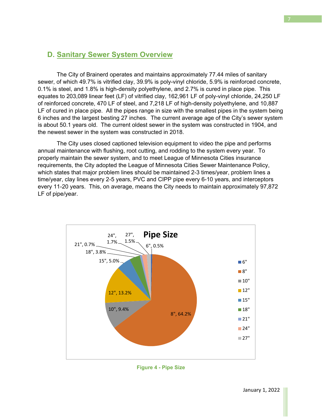#### **D. Sanitary Sewer System Overview**

 The City of Brainerd operates and maintains approximately 77.44 miles of sanitary sewer, of which 49.7% is vitrified clay, 39.9% is poly-vinyl chloride, 5.9% is reinforced concrete, 0.1% is steel, and 1.8% is high-density polyethylene, and 2.7% is cured in place pipe. This equates to 203,089 linear feet (LF) of vitrified clay, 162,961 LF of poly-vinyl chloride, 24,250 LF of reinforced concrete, 470 LF of steel, and 7,218 LF of high-density polyethylene, and 10,887 LF of cured in place pipe. All the pipes range in size with the smallest pipes in the system being 6 inches and the largest besting 27 inches. The current average age of the City's sewer system is about 50.1 years old. The current oldest sewer in the system was constructed in 1904, and the newest sewer in the system was constructed in 2018.

 The City uses closed captioned television equipment to video the pipe and performs annual maintenance with flushing, root cutting, and rodding to the system every year. To properly maintain the sewer system, and to meet League of Minnesota Cities insurance requirements, the City adopted the League of Minnesota Cities Sewer Maintenance Policy, which states that major problem lines should be maintained 2-3 times/year, problem lines a time/year, clay lines every 2-5 years, PVC and CIPP pipe every 6-10 years, and interceptors every 11-20 years. This, on average, means the City needs to maintain approximately 97,872 LF of pipe/year.



**Figure 4 - Pipe Size**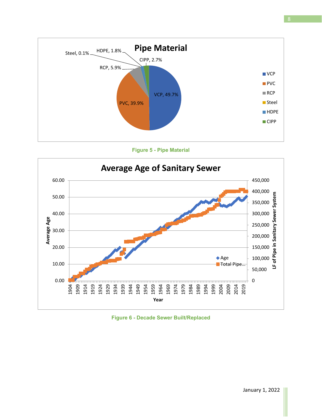

**Figure 5 - Pipe Material** 



**Figure 6 - Decade Sewer Built/Replaced**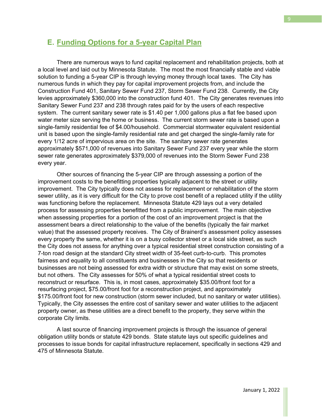#### **E. Funding Options for a 5-year Capital Plan**

 There are numerous ways to fund capital replacement and rehabilitation projects, both at a local level and laid out by Minnesota Statute. The most the most financially stable and viable solution to funding a 5-year CIP is through levying money through local taxes. The City has numerous funds in which they pay for capital improvement projects from, and include the Construction Fund 401, Sanitary Sewer Fund 237, Storm Sewer Fund 238. Currently, the City levies approximately \$360,000 into the construction fund 401. The City generates revenues into Sanitary Sewer Fund 237 and 238 through rates paid for by the users of each respective system. The current sanitary sewer rate is \$1.40 per 1,000 gallons plus a flat fee based upon water meter size serving the home or business. The current storm sewer rate is based upon a single-family residential fee of \$4.00/household. Commercial stormwater equivalent residential unit is based upon the single-family residential rate and get charged the single-family rate for every 1/12 acre of impervious area on the site. The sanitary sewer rate generates approximately \$571,000 of revenues into Sanitary Sewer Fund 237 every year while the storm sewer rate generates approximately \$379,000 of revenues into the Storm Sewer Fund 238 every year.

 Other sources of financing the 5-year CIP are through assessing a portion of the improvement costs to the benefitting properties typically adjacent to the street or utility improvement. The City typically does not assess for replacement or rehabilitation of the storm sewer utility, as it is very difficult for the City to prove cost benefit of a replaced utility if the utility was functioning before the replacement. Minnesota Statute 429 lays out a very detailed process for assessing properties benefitted from a public improvement. The main objective when assessing properties for a portion of the cost of an improvement project is that the assessment bears a direct relationship to the value of the benefits (typically the fair market value) that the assessed property receives. The City of Brainerd's assessment policy assesses every property the same, whether it is on a busy collector street or a local side street, as such the City does not assess for anything over a typical residential street construction consisting of a 7-ton road design at the standard City street width of 35-feet curb-to-curb. This promotes fairness and equality to all constituents and businesses in the City so that residents or businesses are not being assessed for extra width or structure that may exist on some streets, but not others. The City assesses for 50% of what a typical residential street costs to reconstruct or resurface. This is, in most cases, approximately \$35.00/front foot for a resurfacing project, \$75.00/front foot for a reconstruction project, and approximately \$175.00/front foot for new construction (storm sewer included, but no sanitary or water utilities). Typically, the City assesses the entire cost of sanitary sewer and water utilities to the adjacent property owner, as these utilities are a direct benefit to the property, they serve within the corporate City limits.

 A last source of financing improvement projects is through the issuance of general obligation utility bonds or statute 429 bonds. State statute lays out specific guidelines and processes to issue bonds for capital infrastructure replacement, specifically in sections 429 and 475 of Minnesota Statute.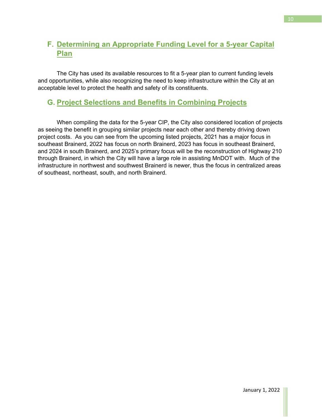#### **F. Determining an Appropriate Funding Level for a 5-year Capital Plan**

 The City has used its available resources to fit a 5-year plan to current funding levels and opportunities, while also recognizing the need to keep infrastructure within the City at an acceptable level to protect the health and safety of its constituents.

#### **G. Project Selections and Benefits in Combining Projects**

 When compiling the data for the 5-year CIP, the City also considered location of projects as seeing the benefit in grouping similar projects near each other and thereby driving down project costs. As you can see from the upcoming listed projects, 2021 has a major focus in southeast Brainerd, 2022 has focus on north Brainerd, 2023 has focus in southeast Brainerd, and 2024 in south Brainerd, and 2025's primary focus will be the reconstruction of Highway 210 through Brainerd, in which the City will have a large role in assisting MnDOT with. Much of the infrastructure in northwest and southwest Brainerd is newer, thus the focus in centralized areas of southeast, northeast, south, and north Brainerd.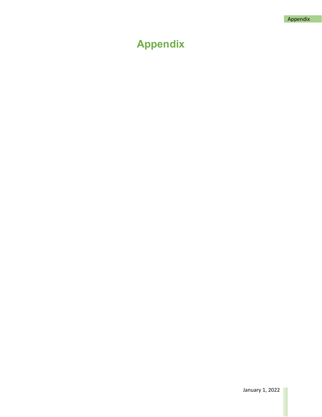## **Appendix**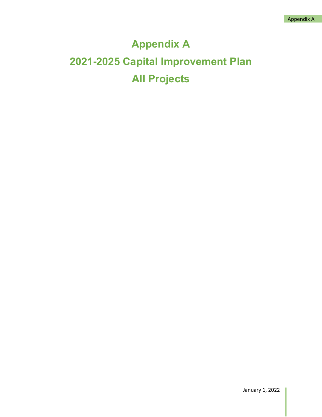## **Appendix A 2021-2025 Capital Improvement Plan All Projects**